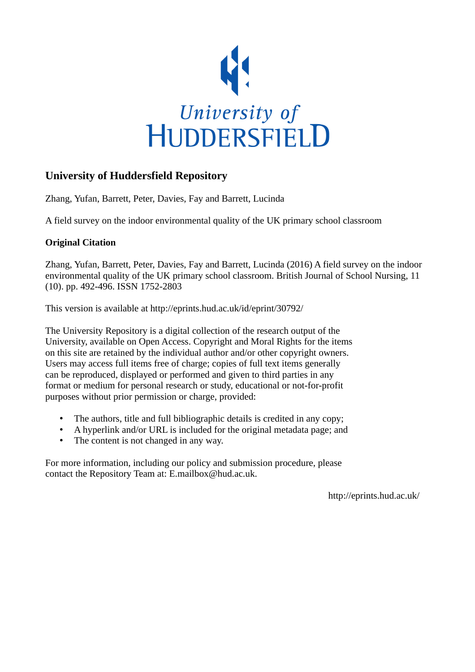

## **University of Huddersfield Repository**

Zhang, Yufan, Barrett, Peter, Davies, Fay and Barrett, Lucinda

A field survey on the indoor environmental quality of the UK primary school classroom

## **Original Citation**

Zhang, Yufan, Barrett, Peter, Davies, Fay and Barrett, Lucinda (2016) A field survey on the indoor environmental quality of the UK primary school classroom. British Journal of School Nursing, 11 (10). pp. 492-496. ISSN 1752-2803

This version is available at http://eprints.hud.ac.uk/id/eprint/30792/

The University Repository is a digital collection of the research output of the University, available on Open Access. Copyright and Moral Rights for the items on this site are retained by the individual author and/or other copyright owners. Users may access full items free of charge; copies of full text items generally can be reproduced, displayed or performed and given to third parties in any format or medium for personal research or study, educational or not-for-profit purposes without prior permission or charge, provided:

- The authors, title and full bibliographic details is credited in any copy;
- A hyperlink and/or URL is included for the original metadata page; and
- The content is not changed in any way.

For more information, including our policy and submission procedure, please contact the Repository Team at: E.mailbox@hud.ac.uk.

http://eprints.hud.ac.uk/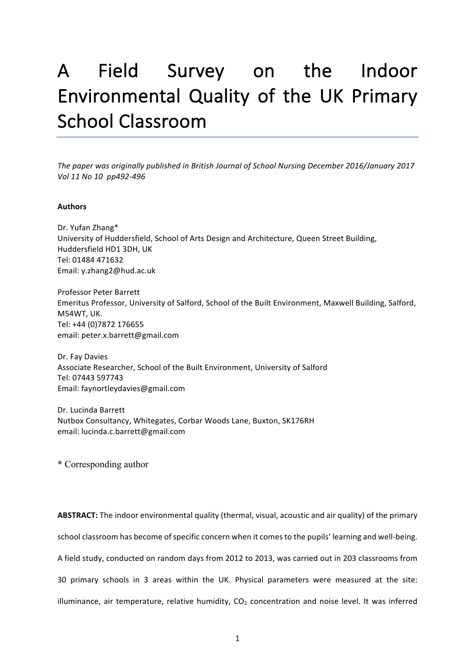# A Field Survey on the Indoor Environmental Quality of the UK Primary School Classroom

The paper was originally published in British Journal of School Nursing December 2016/January 2017 *Vol 11 No 10 pp492-496*

#### **Authors**

Dr. Yufan Zhang\* University of Huddersfield, School of Arts Design and Architecture, Queen Street Building, Huddersfield HD1 3DH, UK Tel: 01484 471632 Email: y.zhang2@hud.ac.uk

Professor Peter Barrett Emeritus Professor, University of Salford, School of the Built Environment, Maxwell Building, Salford, M54WT, UK. Tel: +44 (0)7872 176655 email: peter.x.barrett@gmail.com

Dr. Fay Davies Associate Researcher, School of the Built Environment, University of Salford Tel: 07443 597743 Email: faynortleydavies@gmail.com

Dr. Lucinda Barrett Nutbox Consultancy, Whitegates, Corbar Woods Lane, Buxton, SK176RH email: lucinda.c.barrett@gmail.com 

\* Corresponding author

**ABSTRACT:** The indoor environmental quality (thermal, visual, acoustic and air quality) of the primary school classroom has become of specific concern when it comes to the pupils' learning and well-being. A field study, conducted on random days from 2012 to 2013, was carried out in 203 classrooms from 30 primary schools in 3 areas within the UK. Physical parameters were measured at the site: illuminance, air temperature, relative humidity,  $CO<sub>2</sub>$  concentration and noise level. It was inferred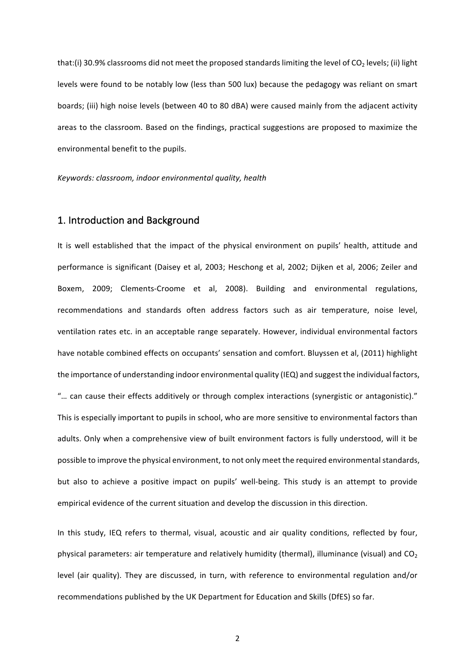that:(i) 30.9% classrooms did not meet the proposed standards limiting the level of  $CO<sub>2</sub>$  levels; (ii) light levels were found to be notably low (less than 500 lux) because the pedagogy was reliant on smart boards; (iii) high noise levels (between 40 to 80 dBA) were caused mainly from the adjacent activity areas to the classroom. Based on the findings, practical suggestions are proposed to maximize the environmental benefit to the pupils.

*Keywords: classroom, indoor environmental quality, health*

#### 1. Introduction and Background

It is well established that the impact of the physical environment on pupils' health, attitude and performance is significant (Daisey et al, 2003; Heschong et al, 2002; Dijken et al, 2006; Zeiler and Boxem, 2009; Clements-Croome et al, 2008). Building and environmental regulations, recommendations and standards often address factors such as air temperature, noise level, ventilation rates etc. in an acceptable range separately. However, individual environmental factors have notable combined effects on occupants' sensation and comfort. Bluyssen et al, (2011) highlight the importance of understanding indoor environmental quality (IEQ) and suggest the individual factors, "... can cause their effects additively or through complex interactions (synergistic or antagonistic)." This is especially important to pupils in school, who are more sensitive to environmental factors than adults. Only when a comprehensive view of built environment factors is fully understood, will it be possible to improve the physical environment, to not only meet the required environmental standards, but also to achieve a positive impact on pupils' well-being. This study is an attempt to provide empirical evidence of the current situation and develop the discussion in this direction.

In this study, IEQ refers to thermal, visual, acoustic and air quality conditions, reflected by four, physical parameters: air temperature and relatively humidity (thermal), illuminance (visual) and  $CO<sub>2</sub>$ level (air quality). They are discussed, in turn, with reference to environmental regulation and/or recommendations published by the UK Department for Education and Skills (DfES) so far.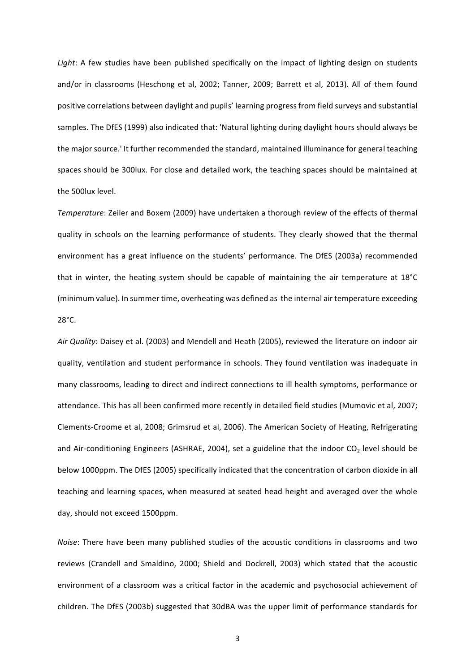Light: A few studies have been published specifically on the impact of lighting design on students and/or in classrooms (Heschong et al, 2002; Tanner, 2009; Barrett et al, 2013). All of them found positive correlations between daylight and pupils' learning progress from field surveys and substantial samples. The DfES (1999) also indicated that: 'Natural lighting during daylight hours should always be the major source.' It further recommended the standard, maintained illuminance for general teaching spaces should be 300lux. For close and detailed work, the teaching spaces should be maintained at the 500lux level.

*Temperature*: Zeiler and Boxem (2009) have undertaken a thorough review of the effects of thermal quality in schools on the learning performance of students. They clearly showed that the thermal environment has a great influence on the students' performance. The DfES (2003a) recommended that in winter, the heating system should be capable of maintaining the air temperature at  $18^{\circ}$ C (minimum value). In summer time, overheating was defined as the internal air temperature exceeding 28°C. 

Air Quality: Daisey et al. (2003) and Mendell and Heath (2005), reviewed the literature on indoor air quality, ventilation and student performance in schools. They found ventilation was inadequate in many classrooms, leading to direct and indirect connections to ill health symptoms, performance or attendance. This has all been confirmed more recently in detailed field studies (Mumovic et al, 2007; Clements-Croome et al, 2008; Grimsrud et al, 2006). The American Society of Heating, Refrigerating and Air-conditioning Engineers (ASHRAE, 2004), set a guideline that the indoor  $CO<sub>2</sub>$  level should be below 1000ppm. The DfES (2005) specifically indicated that the concentration of carbon dioxide in all teaching and learning spaces, when measured at seated head height and averaged over the whole day, should not exceed 1500ppm.

*Noise*: There have been many published studies of the acoustic conditions in classrooms and two reviews (Crandell and Smaldino, 2000; Shield and Dockrell, 2003) which stated that the acoustic environment of a classroom was a critical factor in the academic and psychosocial achievement of children. The DfES (2003b) suggested that 30dBA was the upper limit of performance standards for

3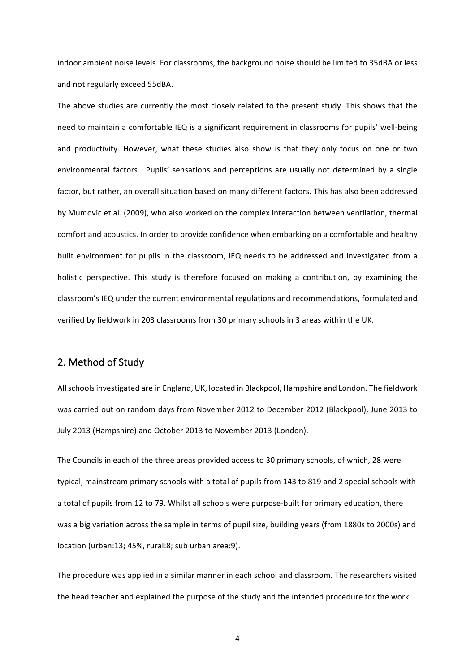indoor ambient noise levels. For classrooms, the background noise should be limited to 35dBA or less and not regularly exceed 55dBA.

The above studies are currently the most closely related to the present study. This shows that the need to maintain a comfortable IEQ is a significant requirement in classrooms for pupils' well-being and productivity. However, what these studies also show is that they only focus on one or two environmental factors. Pupils' sensations and perceptions are usually not determined by a single factor, but rather, an overall situation based on many different factors. This has also been addressed by Mumovic et al. (2009), who also worked on the complex interaction between ventilation, thermal comfort and acoustics. In order to provide confidence when embarking on a comfortable and healthy built environment for pupils in the classroom, IEQ needs to be addressed and investigated from a holistic perspective. This study is therefore focused on making a contribution, by examining the classroom's IEQ under the current environmental regulations and recommendations, formulated and verified by fieldwork in 203 classrooms from 30 primary schools in 3 areas within the UK.

## 2. Method of Study

All schools investigated are in England, UK, located in Blackpool, Hampshire and London. The fieldwork was carried out on random days from November 2012 to December 2012 (Blackpool), June 2013 to July 2013 (Hampshire) and October 2013 to November 2013 (London).

The Councils in each of the three areas provided access to 30 primary schools, of which, 28 were typical, mainstream primary schools with a total of pupils from 143 to 819 and 2 special schools with a total of pupils from 12 to 79. Whilst all schools were purpose-built for primary education, there was a big variation across the sample in terms of pupil size, building years (from 1880s to 2000s) and location (urban:13; 45%, rural:8; sub urban area:9).

The procedure was applied in a similar manner in each school and classroom. The researchers visited the head teacher and explained the purpose of the study and the intended procedure for the work.

4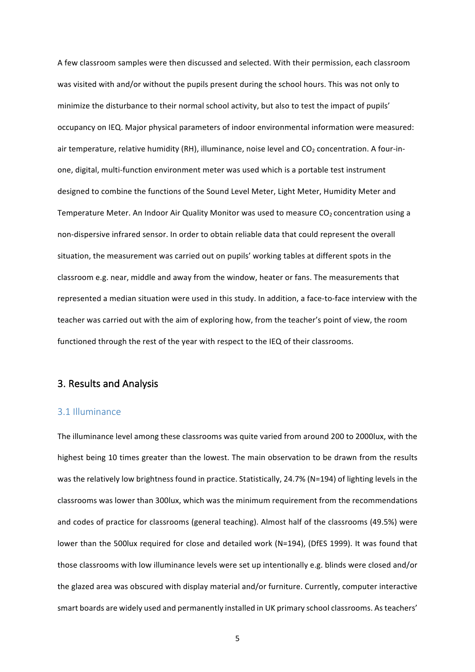A few classroom samples were then discussed and selected. With their permission, each classroom was visited with and/or without the pupils present during the school hours. This was not only to minimize the disturbance to their normal school activity, but also to test the impact of pupils' occupancy on IEQ. Major physical parameters of indoor environmental information were measured: air temperature, relative humidity (RH), illuminance, noise level and  $CO<sub>2</sub>$  concentration. A four-inone, digital, multi-function environment meter was used which is a portable test instrument designed to combine the functions of the Sound Level Meter, Light Meter, Humidity Meter and Temperature Meter. An Indoor Air Quality Monitor was used to measure  $CO<sub>2</sub>$  concentration using a non-dispersive infrared sensor. In order to obtain reliable data that could represent the overall situation, the measurement was carried out on pupils' working tables at different spots in the classroom e.g. near, middle and away from the window, heater or fans. The measurements that represented a median situation were used in this study. In addition, a face-to-face interview with the teacher was carried out with the aim of exploring how, from the teacher's point of view, the room functioned through the rest of the year with respect to the IEQ of their classrooms.

## 3. Results and Analysis

#### 3.1 Illuminance

The illuminance level among these classrooms was quite varied from around 200 to 2000lux, with the highest being 10 times greater than the lowest. The main observation to be drawn from the results was the relatively low brightness found in practice. Statistically, 24.7% (N=194) of lighting levels in the classrooms was lower than 300lux, which was the minimum requirement from the recommendations and codes of practice for classrooms (general teaching). Almost half of the classrooms (49.5%) were lower than the 500lux required for close and detailed work (N=194), (DfES 1999). It was found that those classrooms with low illuminance levels were set up intentionally e.g. blinds were closed and/or the glazed area was obscured with display material and/or furniture. Currently, computer interactive smart boards are widely used and permanently installed in UK primary school classrooms. As teachers'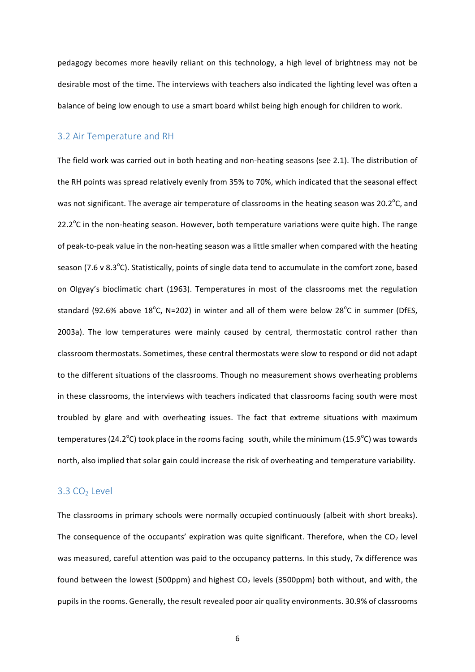pedagogy becomes more heavily reliant on this technology, a high level of brightness may not be desirable most of the time. The interviews with teachers also indicated the lighting level was often a balance of being low enough to use a smart board whilst being high enough for children to work.

#### 3.2 Air Temperature and RH

The field work was carried out in both heating and non-heating seasons (see 2.1). The distribution of the RH points was spread relatively evenly from 35% to 70%, which indicated that the seasonal effect was not significant. The average air temperature of classrooms in the heating season was 20.2 $\rm ^{o}$ C, and 22.2 $\degree$ C in the non-heating season. However, both temperature variations were quite high. The range of peak-to-peak value in the non-heating season was a little smaller when compared with the heating season (7.6 v 8.3 $\degree$ C). Statistically, points of single data tend to accumulate in the comfort zone, based on Olgyay's bioclimatic chart (1963). Temperatures in most of the classrooms met the regulation standard (92.6% above 18°C, N=202) in winter and all of them were below 28°C in summer (DfES, 2003a). The low temperatures were mainly caused by central, thermostatic control rather than classroom thermostats. Sometimes, these central thermostats were slow to respond or did not adapt to the different situations of the classrooms. Though no measurement shows overheating problems in these classrooms, the interviews with teachers indicated that classrooms facing south were most troubled by glare and with overheating issues. The fact that extreme situations with maximum temperatures (24.2 $^{\circ}$ C) took place in the rooms facing  $\:$  south, while the minimum (15.9 $^{\circ}$ C) was towards north, also implied that solar gain could increase the risk of overheating and temperature variability.

#### $3.3 \text{ CO}_2$  Level

The classrooms in primary schools were normally occupied continuously (albeit with short breaks). The consequence of the occupants' expiration was quite significant. Therefore, when the  $CO<sub>2</sub>$  level was measured, careful attention was paid to the occupancy patterns. In this study, 7x difference was found between the lowest (500ppm) and highest  $CO<sub>2</sub>$  levels (3500ppm) both without, and with, the pupils in the rooms. Generally, the result revealed poor air quality environments. 30.9% of classrooms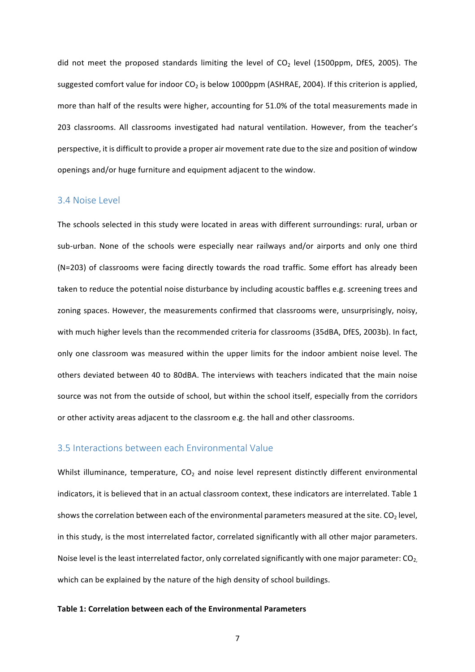did not meet the proposed standards limiting the level of  $CO<sub>2</sub>$  level (1500ppm, DfES, 2005). The suggested comfort value for indoor  $CO<sub>2</sub>$  is below 1000ppm (ASHRAE, 2004). If this criterion is applied, more than half of the results were higher, accounting for 51.0% of the total measurements made in 203 classrooms. All classrooms investigated had natural ventilation. However, from the teacher's perspective, it is difficult to provide a proper air movement rate due to the size and position of window openings and/or huge furniture and equipment adjacent to the window.

#### 3.4 Noise Level

The schools selected in this study were located in areas with different surroundings: rural, urban or sub-urban. None of the schools were especially near railways and/or airports and only one third  $(N=203)$  of classrooms were facing directly towards the road traffic. Some effort has already been taken to reduce the potential noise disturbance by including acoustic baffles e.g. screening trees and zoning spaces. However, the measurements confirmed that classrooms were, unsurprisingly, noisy, with much higher levels than the recommended criteria for classrooms (35dBA, DfES, 2003b). In fact, only one classroom was measured within the upper limits for the indoor ambient noise level. The others deviated between 40 to 80dBA. The interviews with teachers indicated that the main noise source was not from the outside of school, but within the school itself, especially from the corridors or other activity areas adjacent to the classroom e.g. the hall and other classrooms.

#### 3.5 Interactions between each Environmental Value

Whilst illuminance, temperature,  $CO<sub>2</sub>$  and noise level represent distinctly different environmental indicators, it is believed that in an actual classroom context, these indicators are interrelated. Table 1 shows the correlation between each of the environmental parameters measured at the site.  $CO<sub>2</sub>$  level, in this study, is the most interrelated factor, correlated significantly with all other major parameters. Noise level is the least interrelated factor, only correlated significantly with one major parameter:  $CO<sub>2</sub>$ , which can be explained by the nature of the high density of school buildings.

#### **Table 1: Correlation between each of the Environmental Parameters**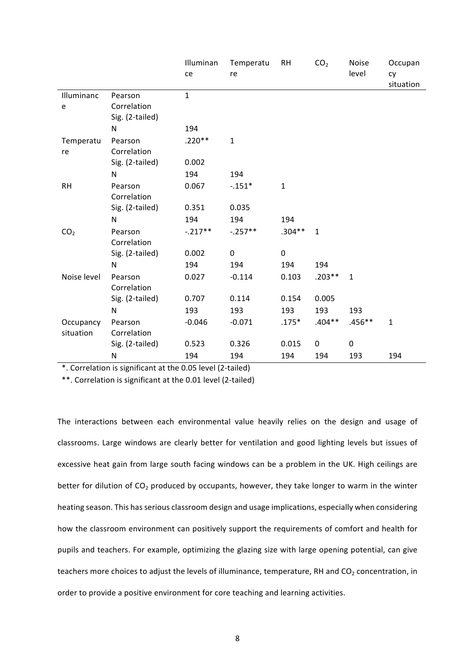|                 |                                           | Illuminan<br>ce | Temperatu<br>re | <b>RH</b>    | CO <sub>2</sub> | Noise<br>level | Occupan<br>cy<br>situation |
|-----------------|-------------------------------------------|-----------------|-----------------|--------------|-----------------|----------------|----------------------------|
| Illuminanc<br>e | Pearson<br>Correlation<br>Sig. (2-tailed) | $\mathbf{1}$    |                 |              |                 |                |                            |
|                 | N                                         | 194             |                 |              |                 |                |                            |
| Temperatu<br>re | Pearson<br>Correlation                    | $.220**$        | $\mathbf{1}$    |              |                 |                |                            |
|                 | Sig. (2-tailed)                           | 0.002           |                 |              |                 |                |                            |
|                 | N                                         | 194             | 194             |              |                 |                |                            |
| <b>RH</b>       | Pearson<br>Correlation                    | 0.067           | $-0.151*$       | $\mathbf{1}$ |                 |                |                            |
|                 | Sig. (2-tailed)                           | 0.351           | 0.035           |              |                 |                |                            |
|                 | N                                         | 194             | 194             | 194          |                 |                |                            |
| CO <sub>2</sub> | Pearson<br>Correlation                    | $-.217**$       | $-.257**$       | $.304**$     | $\mathbf 1$     |                |                            |
|                 | Sig. (2-tailed)                           | 0.002           | 0               | 0            |                 |                |                            |
|                 | N                                         | 194             | 194             | 194          | 194             |                |                            |
| Noise level     | Pearson<br>Correlation                    | 0.027           | $-0.114$        | 0.103        | $.203**$        | $\mathbf{1}$   |                            |
|                 | Sig. (2-tailed)                           | 0.707           | 0.114           | 0.154        | 0.005           |                |                            |
|                 | N                                         | 193             | 193             | 193          | 193             | 193            |                            |
| Occupancy       | Pearson                                   | $-0.046$        | $-0.071$        | $.175*$      | $.404**$        | $.456**$       | $\mathbf{1}$               |
| situation       | Correlation                               |                 |                 |              |                 |                |                            |
|                 | Sig. (2-tailed)                           | 0.523           | 0.326           | 0.015        | $\pmb{0}$       | $\pmb{0}$      |                            |
|                 | N                                         | 194             | 194             | 194          | 194             | 193            | 194                        |

\*. Correlation is significant at the 0.05 level (2-tailed) 

\*\*. Correlation is significant at the 0.01 level (2-tailed)

The interactions between each environmental value heavily relies on the design and usage of classrooms. Large windows are clearly better for ventilation and good lighting levels but issues of excessive heat gain from large south facing windows can be a problem in the UK. High ceilings are better for dilution of CO<sub>2</sub> produced by occupants, however, they take longer to warm in the winter heating season. This has serious classroom design and usage implications, especially when considering how the classroom environment can positively support the requirements of comfort and health for pupils and teachers. For example, optimizing the glazing size with large opening potential, can give teachers more choices to adjust the levels of illuminance, temperature, RH and  $CO<sub>2</sub>$  concentration, in order to provide a positive environment for core teaching and learning activities.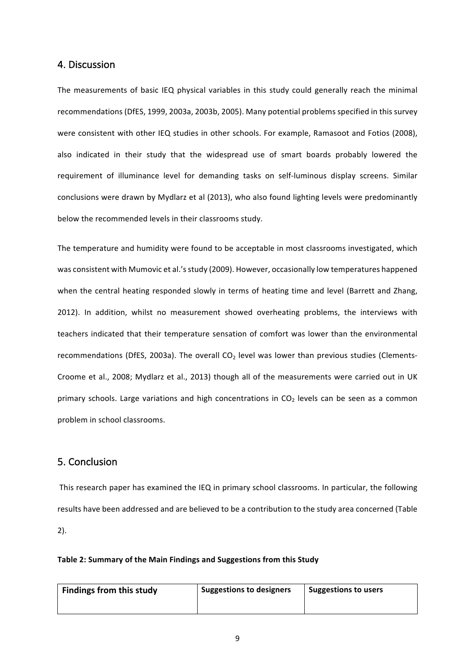#### 4. Discussion

The measurements of basic IEQ physical variables in this study could generally reach the minimal recommendations (DfES, 1999, 2003a, 2003b, 2005). Many potential problems specified in this survey were consistent with other IEQ studies in other schools. For example, Ramasoot and Fotios (2008), also indicated in their study that the widespread use of smart boards probably lowered the requirement of illuminance level for demanding tasks on self-luminous display screens. Similar conclusions were drawn by Mydlarz et al (2013), who also found lighting levels were predominantly below the recommended levels in their classrooms study.

The temperature and humidity were found to be acceptable in most classrooms investigated, which was consistent with Mumovic et al.'s study (2009). However, occasionally low temperatures happened when the central heating responded slowly in terms of heating time and level (Barrett and Zhang, 2012). In addition, whilst no measurement showed overheating problems, the interviews with teachers indicated that their temperature sensation of comfort was lower than the environmental recommendations (DfES, 2003a). The overall  $CO<sub>2</sub>$  level was lower than previous studies (Clements-Croome et al., 2008; Mydlarz et al., 2013) though all of the measurements were carried out in UK primary schools. Large variations and high concentrations in  $CO<sub>2</sub>$  levels can be seen as a common problem in school classrooms.

### 5. Conclusion

This research paper has examined the IEQ in primary school classrooms. In particular, the following results have been addressed and are believed to be a contribution to the study area concerned (Table 2).

#### Table 2: Summary of the Main Findings and Suggestions from this Study

| Findings from this study | Suggestions to designers | Suggestions to users |  |
|--------------------------|--------------------------|----------------------|--|
|                          |                          |                      |  |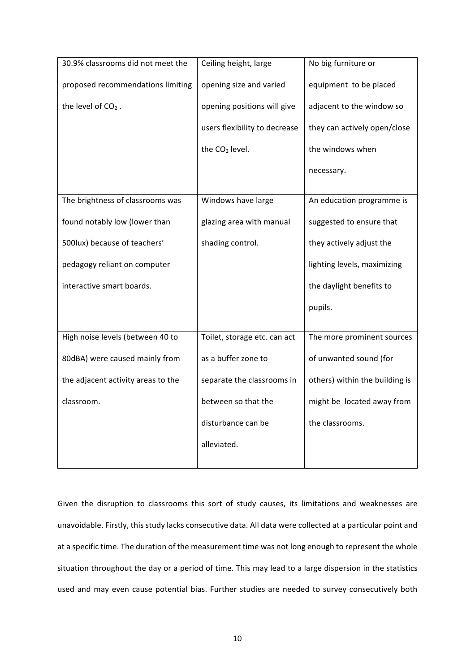| 30.9% classrooms did not meet the  | Ceiling height, large         | No big furniture or            |  |
|------------------------------------|-------------------------------|--------------------------------|--|
|                                    |                               |                                |  |
| proposed recommendations limiting  | opening size and varied       | equipment to be placed         |  |
| the level of $CO2$ .               | opening positions will give   | adjacent to the window so      |  |
|                                    |                               |                                |  |
|                                    | users flexibility to decrease | they can actively open/close   |  |
|                                    | the CO <sub>2</sub> level.    | the windows when               |  |
|                                    |                               |                                |  |
|                                    |                               | necessary.                     |  |
|                                    |                               |                                |  |
| The brightness of classrooms was   | Windows have large            | An education programme is      |  |
|                                    |                               |                                |  |
| found notably low (lower than      | glazing area with manual      | suggested to ensure that       |  |
|                                    |                               |                                |  |
| 500lux) because of teachers'       | shading control.              | they actively adjust the       |  |
|                                    |                               |                                |  |
| pedagogy reliant on computer       |                               | lighting levels, maximizing    |  |
| interactive smart boards.          |                               |                                |  |
|                                    |                               | the daylight benefits to       |  |
|                                    |                               | pupils.                        |  |
|                                    |                               |                                |  |
|                                    |                               |                                |  |
| High noise levels (between 40 to   | Toilet, storage etc. can act  | The more prominent sources     |  |
|                                    |                               |                                |  |
| 80dBA) were caused mainly from     | as a buffer zone to           | of unwanted sound (for         |  |
| the adjacent activity areas to the | separate the classrooms in    | others) within the building is |  |
|                                    |                               |                                |  |
| classroom.                         | between so that the           | might be located away from     |  |
|                                    |                               |                                |  |
|                                    | disturbance can be            | the classrooms.                |  |
|                                    |                               |                                |  |
|                                    | alleviated.                   |                                |  |
|                                    |                               |                                |  |

Given the disruption to classrooms this sort of study causes, its limitations and weaknesses are unavoidable. Firstly, this study lacks consecutive data. All data were collected at a particular point and at a specific time. The duration of the measurement time was not long enough to represent the whole situation throughout the day or a period of time. This may lead to a large dispersion in the statistics used and may even cause potential bias. Further studies are needed to survey consecutively both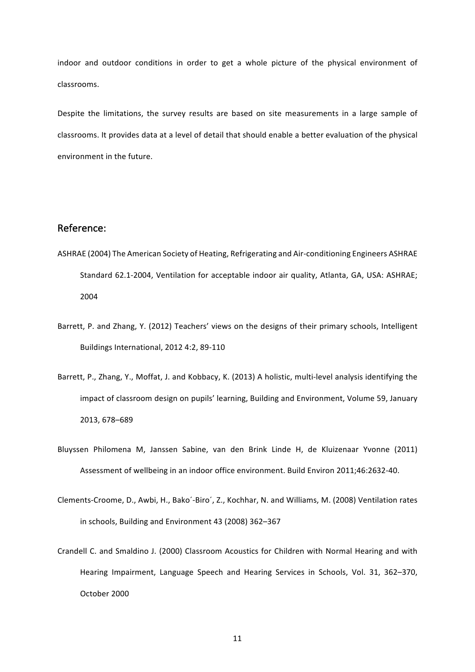indoor and outdoor conditions in order to get a whole picture of the physical environment of classrooms.

Despite the limitations, the survey results are based on site measurements in a large sample of classrooms. It provides data at a level of detail that should enable a better evaluation of the physical environment in the future.

## Reference:

- ASHRAE (2004) The American Society of Heating, Refrigerating and Air-conditioning Engineers ASHRAE Standard 62.1-2004, Ventilation for acceptable indoor air quality, Atlanta, GA, USA: ASHRAE; 2004
- Barrett, P. and Zhang, Y. (2012) Teachers' views on the designs of their primary schools, Intelligent Buildings International, 2012 4:2, 89-110
- Barrett, P., Zhang, Y., Moffat, J. and Kobbacy, K. (2013) A holistic, multi-level analysis identifying the impact of classroom design on pupils' learning, Building and Environment, Volume 59, January 2013, 678–689
- Bluyssen Philomena M, Janssen Sabine, van den Brink Linde H, de Kluizenaar Yvonne (2011) Assessment of wellbeing in an indoor office environment. Build Environ 2011;46:2632-40.
- Clements-Croome, D., Awbi, H., Bako'-Biro', Z., Kochhar, N. and Williams, M. (2008) Ventilation rates in schools, Building and Environment 43 (2008) 362-367
- Crandell C. and Smaldino J. (2000) Classroom Acoustics for Children with Normal Hearing and with Hearing Impairment, Language Speech and Hearing Services in Schools, Vol. 31, 362-370, October 2000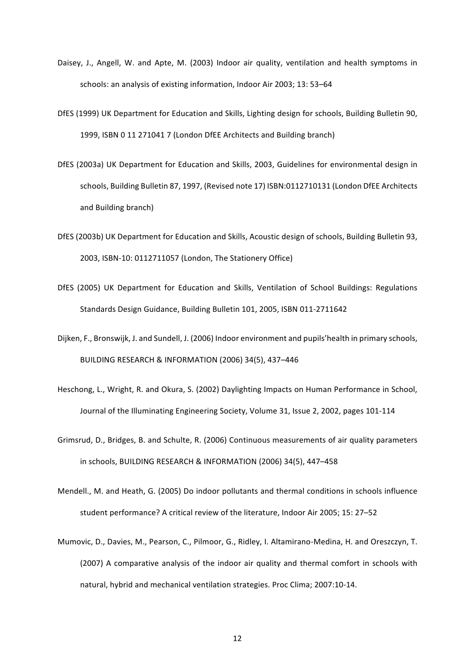- Daisey, J., Angell, W. and Apte, M. (2003) Indoor air quality, ventilation and health symptoms in schools: an analysis of existing information, Indoor Air 2003; 13: 53-64
- DfES (1999) UK Department for Education and Skills, Lighting design for schools, Building Bulletin 90, 1999, ISBN 0 11 271041 7 (London DfEE Architects and Building branch)
- DfES (2003a) UK Department for Education and Skills, 2003, Guidelines for environmental design in schools, Building Bulletin 87, 1997, (Revised note 17) ISBN:0112710131 (London DfEE Architects and Building branch)
- DfES (2003b) UK Department for Education and Skills, Acoustic design of schools, Building Bulletin 93, 2003, ISBN-10: 0112711057 (London, The Stationery Office)
- DfES (2005) UK Department for Education and Skills, Ventilation of School Buildings: Regulations Standards Design Guidance, Building Bulletin 101, 2005, ISBN 011-2711642
- Dijken, F., Bronswijk, J. and Sundell, J. (2006) Indoor environment and pupils'health in primary schools, BUILDING RESEARCH & INFORMATION (2006) 34(5), 437-446
- Heschong, L., Wright, R. and Okura, S. (2002) Daylighting Impacts on Human Performance in School, Journal of the Illuminating Engineering Society, Volume 31, Issue 2, 2002, pages 101-114
- Grimsrud, D., Bridges, B. and Schulte, R. (2006) Continuous measurements of air quality parameters in schools, BUILDING RESEARCH & INFORMATION (2006) 34(5), 447-458
- Mendell., M. and Heath, G. (2005) Do indoor pollutants and thermal conditions in schools influence student performance? A critical review of the literature, Indoor Air 2005; 15: 27-52
- Mumovic, D., Davies, M., Pearson, C., Pilmoor, G., Ridley, I. Altamirano-Medina, H. and Oreszczyn, T. (2007) A comparative analysis of the indoor air quality and thermal comfort in schools with natural, hybrid and mechanical ventilation strategies. Proc Clima; 2007:10-14.